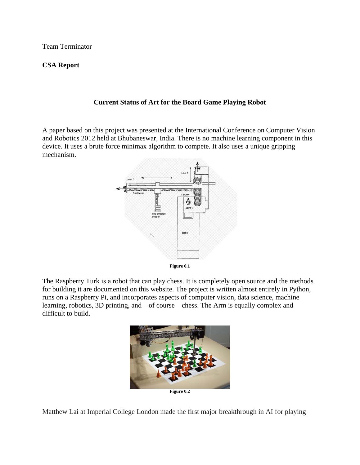Team Terminator

## **CSA Report**

## **Current Status of Art for the Board Game Playing Robot**

A paper based on this project was presented at the International Conference on Computer Vision and Robotics 2012 held at Bhubaneswar, India. There is no machine learning component in this device. It uses a brute force minimax algorithm to compete. It also uses a unique gripping mechanism.





The Raspberry Turk is a robot that can play chess. It is completely open source and the methods for building it are documented on this website. The project is written almost entirely in Python, runs on a Raspberry Pi, and incorporates aspects of computer vision, data science, machine learning, robotics, 3D printing, and—of course—chess. The Arm is equally complex and difficult to build.



Matthew Lai at Imperial College London made the first major breakthrough in AI for playing